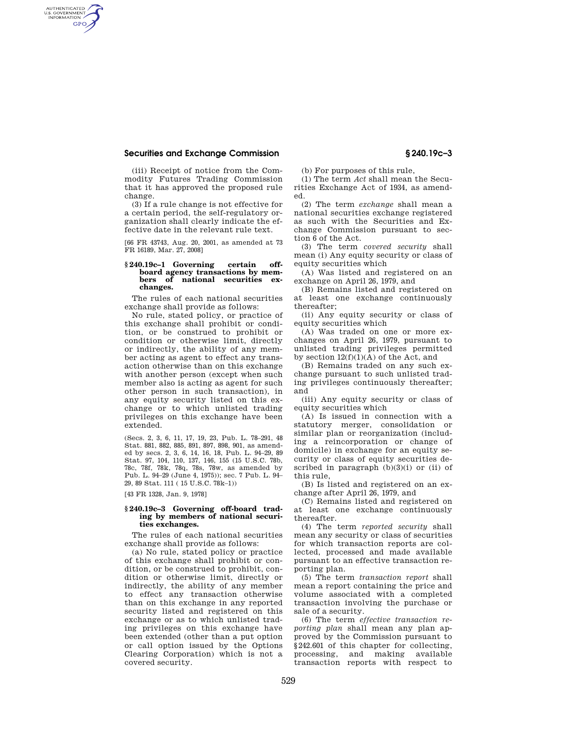## **Securities and Exchange Commission § 240.19c–3**

AUTHENTICATED<br>U.S. GOVERNMENT<br>INFORMATION **GPO** 

> (iii) Receipt of notice from the Commodity Futures Trading Commission that it has approved the proposed rule change.

> (3) If a rule change is not effective for a certain period, the self-regulatory organization shall clearly indicate the effective date in the relevant rule text.

> [66 FR 43743, Aug. 20, 2001, as amended at 73 FR 16189, Mar. 27, 2008]

## **§ 240.19c–1 Governing certain offboard agency transactions by mem**national securities ex**changes.**

The rules of each national securities exchange shall provide as follows:

No rule, stated policy, or practice of this exchange shall prohibit or condition, or be construed to prohibit or condition or otherwise limit, directly or indirectly, the ability of any member acting as agent to effect any transaction otherwise than on this exchange with another person (except when such member also is acting as agent for such other person in such transaction), in any equity security listed on this exchange or to which unlisted trading privileges on this exchange have been extended.

(Secs. 2, 3, 6, 11, 17, 19, 23, Pub. L. 78–291, 48 Stat. 881, 882, 885, 891, 897, 898, 901, as amended by secs. 2, 3, 6, 14, 16, 18, Pub. L. 94–29, 89 Stat. 97, 104, 110, 137, 146, 155 (15 U.S.C. 78b, 78c, 78f, 78k, 78q, 78s, 78w, as amended by Pub. L. 94–29 (June 4, 1975)); sec. 7 Pub. L. 94– 29, 89 Stat. 111 ( 15 U.S.C. 78k–1))

[43 FR 1328, Jan. 9, 1978]

## **§ 240.19c–3 Governing off-board trading by members of national securities exchanges.**

The rules of each national securities exchange shall provide as follows:

(a) No rule, stated policy or practice of this exchange shall prohibit or condition, or be construed to prohibit, condition or otherwise limit, directly or indirectly, the ability of any member to effect any transaction otherwise than on this exchange in any reported security listed and registered on this exchange or as to which unlisted trading privileges on this exchange have been extended (other than a put option or call option issued by the Options Clearing Corporation) which is not a covered security.

(b) For purposes of this rule,

(1) The term *Act* shall mean the Securities Exchange Act of 1934, as amended.

(2) The term *exchange* shall mean a national securities exchange registered as such with the Securities and Exchange Commission pursuant to section 6 of the Act.

(3) The term *covered security* shall mean (i) Any equity security or class of equity securities which

(A) Was listed and registered on an exchange on April 26, 1979, and

(B) Remains listed and registered on at least one exchange continuously thereafter;

(ii) Any equity security or class of equity securities which

(A) Was traded on one or more exchanges on April 26, 1979, pursuant to unlisted trading privileges permitted by section  $12(f)(1)(A)$  of the Act, and

(B) Remains traded on any such exchange pursuant to such unlisted trading privileges continuously thereafter; and

(iii) Any equity security or class of equity securities which

(A) Is issued in connection with a statutory merger, consolidation or similar plan or reorganization (including a reincorporation or change of domicile) in exchange for an equity security or class of equity securities described in paragraph  $(b)(3)(i)$  or  $(ii)$  of this rule,

(B) Is listed and registered on an exchange after April 26, 1979, and

(C) Remains listed and registered on at least one exchange continuously thereafter.

(4) The term *reported security* shall mean any security or class of securities for which transaction reports are collected, processed and made available pursuant to an effective transaction reporting plan.

(5) The term *transaction report* shall mean a report containing the price and volume associated with a completed transaction involving the purchase or sale of a security.

(6) The term *effective transaction reporting plan* shall mean any plan approved by the Commission pursuant to §242.601 of this chapter for collecting, processing, and making available transaction reports with respect to